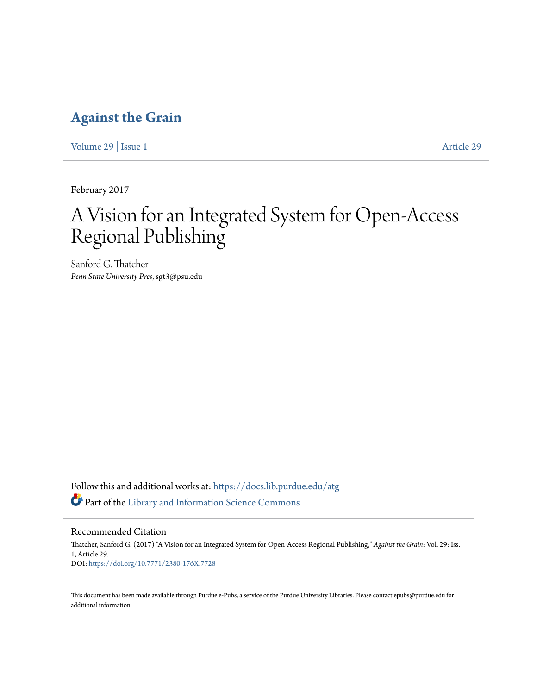## **[Against the Grain](https://docs.lib.purdue.edu/atg?utm_source=docs.lib.purdue.edu%2Fatg%2Fvol29%2Fiss1%2F29&utm_medium=PDF&utm_campaign=PDFCoverPages)**

[Volume 29](https://docs.lib.purdue.edu/atg/vol29?utm_source=docs.lib.purdue.edu%2Fatg%2Fvol29%2Fiss1%2F29&utm_medium=PDF&utm_campaign=PDFCoverPages) | [Issue 1](https://docs.lib.purdue.edu/atg/vol29/iss1?utm_source=docs.lib.purdue.edu%2Fatg%2Fvol29%2Fiss1%2F29&utm_medium=PDF&utm_campaign=PDFCoverPages) [Article 29](https://docs.lib.purdue.edu/atg/vol29/iss1/29?utm_source=docs.lib.purdue.edu%2Fatg%2Fvol29%2Fiss1%2F29&utm_medium=PDF&utm_campaign=PDFCoverPages)

February 2017

# A Vision for an Integrated System for Open-Access Regional Publishing

Sanford G. Thatcher *Penn State University Pres*, sgt3@psu.edu

Follow this and additional works at: [https://docs.lib.purdue.edu/atg](https://docs.lib.purdue.edu/atg?utm_source=docs.lib.purdue.edu%2Fatg%2Fvol29%2Fiss1%2F29&utm_medium=PDF&utm_campaign=PDFCoverPages) Part of the [Library and Information Science Commons](http://network.bepress.com/hgg/discipline/1018?utm_source=docs.lib.purdue.edu%2Fatg%2Fvol29%2Fiss1%2F29&utm_medium=PDF&utm_campaign=PDFCoverPages)

Recommended Citation

Thatcher, Sanford G. (2017) "A Vision for an Integrated System for Open-Access Regional Publishing," *Against the Grain*: Vol. 29: Iss. 1, Article 29. DOI: <https://doi.org/10.7771/2380-176X.7728>

This document has been made available through Purdue e-Pubs, a service of the Purdue University Libraries. Please contact epubs@purdue.edu for additional information.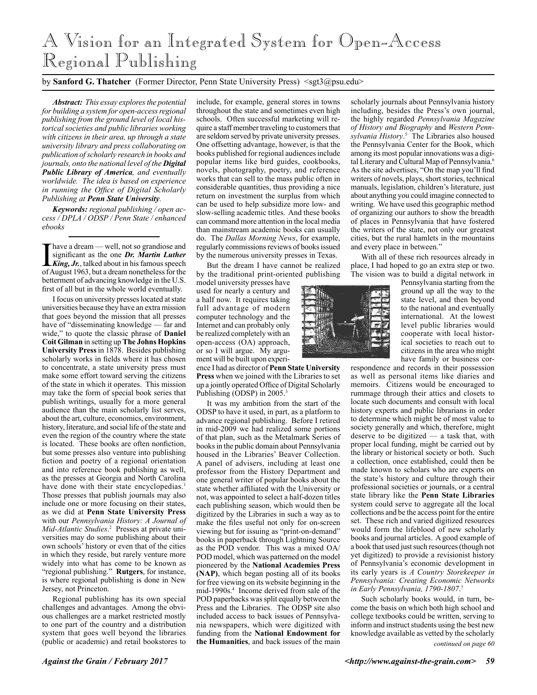# A Vision for an Integrated System for Open-Access Regional Publishing

### by **Sanford G. Thatcher** (Former Director, Penn State University Press) <sgt3@psu.edu>

*Abstract: This essay explores the potential for building a system for open-access regional publishing from the ground level of local historical societies and public libraries working with citizens in their area, up through a state university library and press collaborating on publication of scholarly research in books and journals, onto the national level of the Digital Public Library of America, and eventually worldwide. The idea is based on experience in running the Office of Digital Scholarly Publishing at Penn State University.*

*Keywords: regional publishing / open access / DPLA / ODSP / Penn State / enhanced ebooks*

have a dream — well, not so grandiose and significant as the one *Dr. Martin Luther King, Jr.*, talked about in his famous speech of August 1963, but a dream nonetheless for the betterment of advancing knowledge in the U.S. first of all but in the whole world eventually.

I focus on university presses located at state universities because they have an extra mission that goes beyond the mission that all presses have of "disseminating knowledge — far and wide," to quote the classic phrase of **Daniel Coit Gilman** in setting up **The Johns Hopkins University Press** in 1878. Besides publishing scholarly works in fields where it has chosen to concentrate, a state university press must make some effort toward serving the citizens of the state in which it operates. This mission may take the form of special book series that publish writings, usually for a more general audience than the main scholarly list serves, about the art, culture, economics, environment, history, literature, and social life of the state and even the region of the country where the state is located. These books are often nonfiction, but some presses also venture into publishing fiction and poetry of a regional orientation and into reference book publishing as well, as the presses at Georgia and North Carolina have done with their state encyclopedias.<sup>1</sup> Those presses that publish journals may also include one or more focusing on their states, as we did at **Penn State University Press**  with our *Pennsylvania History: A Journal of Mid-Atlantic Studies*. 2 Presses at private universities may do some publishing about their own schools' history or even that of the cities in which they reside, but rarely venture more widely into what has come to be known as "regional publishing." **Rutgers**, for instance, is where regional publishing is done in New Jersey, not Princeton.

Regional publishing has its own special challenges and advantages. Among the obvious challenges are a market restricted mostly to one part of the country and a distribution system that goes well beyond the libraries (public or academic) and retail bookstores to

include, for example, general stores in towns throughout the state and sometimes even high schools. Often successful marketing will require a staff member traveling to customers that are seldom served by private university presses. One offsetting advantage, however, is that the books published for regional audiences include popular items like bird guides, cookbooks, novels, photography, poetry, and reference works that can sell to the mass public often in considerable quantities, thus providing a nice return on investment the surplus from which can be used to help subsidize more low- and slow-selling academic titles. And these books can command more attention in the local media than mainstream academic books can usually do. The *Dallas Morning News*, for example, regularly commissions reviews of books issued by the numerous university presses in Texas.

But the dream I have cannot be realized by the traditional print-oriented publishing

model university presses have used for nearly a century and a half now. It requires taking full advantage of modern computer technology and the Internet and can probably only be realized completely with an open-access (OA) approach, or so I will argue. My argument will be built upon experi-

ence I had as director of **Penn State University Press** when we joined with the Libraries to set up a jointly operated Office of Digital Scholarly Publishing (ODSP) in 2005.

It was my ambition from the start of the ODSP to have it used, in part, as a platform to advance regional publishing. Before I retired in mid-2009 we had realized some portions of that plan, such as the Metalmark Series of books in the public domain about Pennsylvania housed in the Libraries' Beaver Collection. A panel of advisers, including at least one professor from the History Department and one general writer of popular books about the state whether affiliated with the University or not, was appointed to select a half-dozen titles each publishing season, which would then be digitized by the Libraries in such a way as to make the files useful not only for on-screen viewing but for issuing as "print-on-demand" books in paperback through Lightning Source as the POD vendor. This was a mixed OA/ POD model, which was patterned on the model pioneered by the **National Academies Press (NAP)**, which began posting all of its books for free viewing on its website beginning in the mid-1990s.4 Income derived from sale of the POD paperbacks was split equally between the Press and the Libraries. The ODSP site also included access to back issues of Pennsylvania newspapers, which were digitized with funding from the **National Endowment for the Humanities**, and back issues of the main

scholarly journals about Pennsylvania history including, besides the Press's own journal, the highly regarded *Pennsylvania Magazine of History and Biography* and *Western Pennsylvania History*. 5 The Libraries also housed the Pennsylvania Center for the Book, which among its most popular innovations was a digital Literary and Cultural Map of Pennsylvania.<sup>6</sup> As the site advertises, "On the map you'll find writers of novels, plays, short stories, technical manuals, legislation, children's literature, just about anything you could imagine connected to writing. We have used this geographic method of organizing our authors to show the breadth of places in Pennsylvania that have fostered the writers of the state, not only our greatest cities, but the rural hamlets in the mountains and every place in between."

With all of these rich resources already in place, I had hoped to go an extra step or two. The vision was to build a digital network in



Pennsylvania starting from the ground up all the way to the state level, and then beyond to the national and eventually international. At the lowest level public libraries would cooperate with local historical societies to reach out to citizens in the area who might have family or business cor-

respondence and records in their possession as well as personal items like diaries and memoirs. Citizens would be encouraged to rummage through their attics and closets to locate such documents and consult with local history experts and public librarians in order to determine which might be of most value to society generally and which, therefore, might deserve to be digitized — a task that, with proper local funding, might be carried out by the library or historical society or both. Such a collection, once established, could then be made known to scholars who are experts on the state's history and culture through their professional societies or journals, or a central state library like the **Penn State Libraries**  system could serve to aggregate all the local collections and be the access point for the entire set. These rich and varied digitized resources would form the lifeblood of new scholarly books and journal articles. A good example of a book that used just such resources (though not yet digitized) to provide a revisionist history of Pennsylvania's economic development in its early years is *A Country Storekeeper in Pennsylvania: Creating Economic Networks in Early Pennsylvania, 1790-1807*. 7

*continued on page 60* Such scholarly books would, in turn, become the basis on which both high school and college textbooks could be written, serving to inform and instruct students using the best new knowledge available as vetted by the scholarly